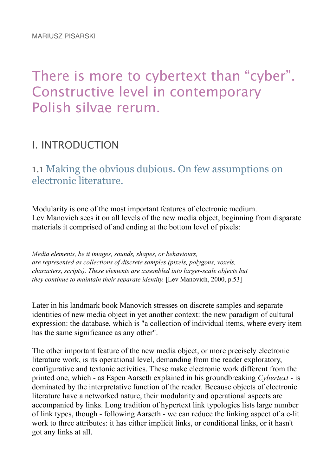# There is more to cybertext than "cyber". Constructive level in contemporary Polish silvae rerum.

# I. INTRODUCTION

1.1 Making the obvious dubious. On few assumptions on electronic literature.

Modularity is one of the most important features of electronic medium. Lev Manovich sees it on all levels of the new media object, beginning from disparate materials it comprised of and ending at the bottom level of pixels:

*Media elements, be it images, sounds, shapes, or behaviours, are represented as collections of discrete samples (pixels, polygons, voxels, characters, scripts). These elements are assembled into larger-scale objects but they continue to maintain their separate identity.* [Lev Manovich, 2000, p.53]

Later in his landmark book Manovich stresses on discrete samples and separate identities of new media object in yet another context: the new paradigm of cultural expression: the database, which is "a collection of individual items, where every item has the same significance as any other".

The other important feature of the new media object, or more precisely electronic literature work, is its operational level, demanding from the reader exploratory, configurative and textonic activities. These make electronic work different from the printed one, which - as Espen Aarseth explained in his groundbreaking *Cybertext* - is dominated by the interpretative function of the reader. Because objects of electronic literature have a networked nature, their modularity and operational aspects are accompanied by links. Long tradition of hypertext link typologies lists large number of link types, though - following Aarseth - we can reduce the linking aspect of a e-lit work to three attributes: it has either implicit links, or conditional links, or it hasn't got any links at all.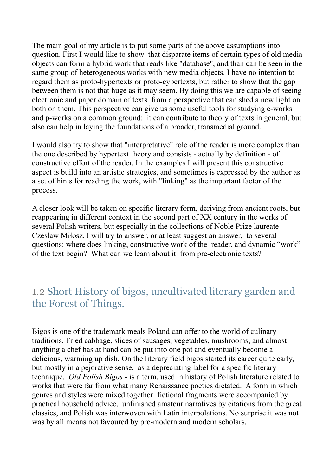The main goal of my article is to put some parts of the above assumptions into question. First I would like to show that disparate items of certain types of old media objects can form a hybrid work that reads like "database", and than can be seen in the same group of heterogeneous works with new media objects. I have no intention to regard them as proto-hypertexts or proto-cybertexts, but rather to show that the gap between them is not that huge as it may seem. By doing this we are capable of seeing electronic and paper domain of texts from a perspective that can shed a new light on both on them. This perspective can give us some useful tools for studying e-works and p-works on a common ground: it can contribute to theory of texts in general, but also can help in laying the foundations of a broader, transmedial ground.

I would also try to show that "interpretative" role of the reader is more complex than the one described by hypertext theory and consists - actually by definition - of constructive effort of the reader. In the examples I will present this constructive aspect is build into an artistic strategies, and sometimes is expressed by the author as a set of hints for reading the work, with "linking" as the important factor of the process.

A closer look will be taken on specific literary form, deriving from ancient roots, but reappearing in different context in the second part of XX century in the works of several Polish writers, but especially in the collections of Noble Prize laureate Czesław Miłosz. I will try to answer, or at least suggest an answer, to several questions: where does linking, constructive work of the reader, and dynamic "work" of the text begin? What can we learn about it from pre-electronic texts?

#### 1.2 Short History of bigos, uncultivated literary garden and the Forest of Things.

Bigos is one of the trademark meals Poland can offer to the world of culinary traditions. Fried cabbage, slices of sausages, vegetables, mushrooms, and almost anything a chef has at hand can be put into one pot and eventually become a delicious, warming up dish, On the literary field bigos started its career quite early, but mostly in a pejorative sense, as a depreciating label for a specific literary technique. *Old Polish Bigos* - is a term, used in history of Polish literature related to works that were far from what many Renaissance poetics dictated. A form in which genres and styles were mixed together: fictional fragments were accompanied by practical household advice, unfinished amateur narratives by citations from the great classics, and Polish was interwoven with Latin interpolations. No surprise it was not was by all means not favoured by pre-modern and modern scholars.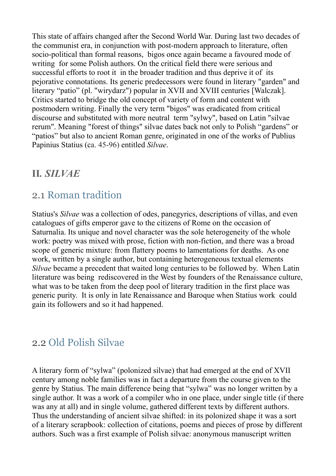This state of affairs changed after the Second World War. During last two decades of the communist era, in conjunction with post-modern approach to literature, often socio-political than formal reasons, bigos once again became a favoured mode of writing for some Polish authors. On the critical field there were serious and successful efforts to root it in the broader tradition and thus deprive it of its pejorative connotations. Its generic predecessors were found in literary "garden" and literary "patio" (pl. "wirydarz") popular in XVII and XVIII centuries [Walczak]. Critics started to bridge the old concept of variety of form and content with postmodern writing. Finally the very term "bigos" was eradicated from critical discourse and substituted with more neutral term "sylwy", based on Latin "silvae rerum". Meaning "forest of things" silvae dates back not only to Polish "gardens" or "patios" but also to ancient Roman genre, originated in one of the works of Publius Papinius Statius (ca. 45-96) entitled *Silvae*.

#### **II***. SILVAE*

#### 2.1 Roman tradition

Statius's *Silvae* was a collection of odes, panegyrics, descriptions of villas, and even catalogues of gifts emperor gave to the citizens of Rome on the occasion of Saturnalia. Its unique and novel character was the sole heterogeneity of the whole work: poetry was mixed with prose, fiction with non-fiction, and there was a broad scope of generic mixture: from flattery poems to lamentations for deaths. As one work, written by a single author, but containing heterogeneous textual elements *Silvae* became a precedent that waited long centuries to be followed by. When Latin literature was being rediscovered in the West by founders of the Renaissance culture, what was to be taken from the deep pool of literary tradition in the first place was generic purity. It is only in late Renaissance and Baroque when Statius work could gain its followers and so it had happened.

# 2.2 Old Polish Silvae

A literary form of "sylwa" (polonized silvae) that had emerged at the end of XVII century among noble families was in fact a departure from the course given to the genre by Statius. The main difference being that "sylwa" was no longer written by a single author. It was a work of a compiler who in one place, under single title (if there was any at all) and in single volume, gathered different texts by different authors. Thus the understanding of ancient silvae shifted: in its polonized shape it was a sort of a literary scrapbook: collection of citations, poems and pieces of prose by different authors. Such was a first example of Polish silvae: anonymous manuscript written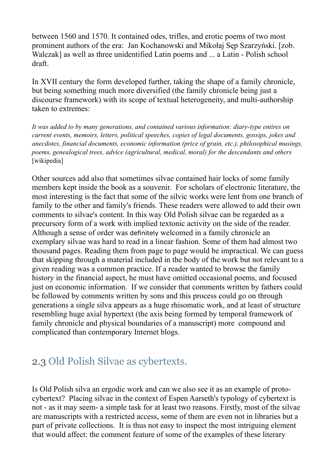between 1560 and 1570. It contained odes, trifles, and erotic poems of two most prominent authors of the era: Jan Kochanowski and Mikołaj Sep Szarzyński. [zob. Walczak] as well as three unidentified Latin poems and ... a Latin - Polish school draft.

In XVII century the form developed further, taking the shape of a family chronicle, but being something much more diversified (the family chronicle being just a discourse framework) with its scope of textual heterogeneity, and multi-authorship taken to extremes:

*It was added to by many generations, and contained various information: diary-type entires on current events, memoirs, letters, political speeches, copies of legal documents, gossips, jokes and anecdotes, financial documents, economic information (price of grain, etc.), philosophical musings, poems, genealogical trees, advice (agricultural, medical, moral) for the descendants and others*  [wikipedia]

Other sources add also that sometimes silvae contained hair locks of some family members kept inside the book as a souvenir. For scholars of electronic literature, the most interesting is the fact that some of the silvic works were lent from one branch of family to the other and family's friends. These readers were allowed to add their own comments to silvae's content. In this way Old Polish silvae can be regarded as a precursory form of a work with implied textonic activity on the side of the reader. Although a sense of order was definitely welcomed in a family chronicle an exemplary silvae was hard to read in a linear fashion. Some of them had almost two thousand pages. Reading them from page to page would be impractical. We can guess that skipping through a material included in the body of the work but not relevant to a given reading was a common practice. If a reader wanted to browse the family history in the financial aspect, he must have omitted occasional poems, and focused just on economic information. If we consider that comments written by fathers could be followed by comments written by sons and this process could go on through generations a single silva appears as a huge rhisomatic work, and at least of structure resembling huge axial hypertext (the axis being formed by temporal framework of family chronicle and physical boundaries of a manuscript) more compound and complicated than contemporary Internet blogs.

#### 2.3 Old Polish Silvae as cybertexts.

Is Old Polish silva an ergodic work and can we also see it as an example of protocybertext? Placing silvae in the context of Espen Aarseth's typology of cybertext is not - as it may seem- a simple task for at least two reasons. Firstly, most of the silvae are manuscripts with a restricted access, some of them are even not in libraries but a part of private collections. It is thus not easy to inspect the most intriguing element that would affect: the comment feature of some of the examples of these literary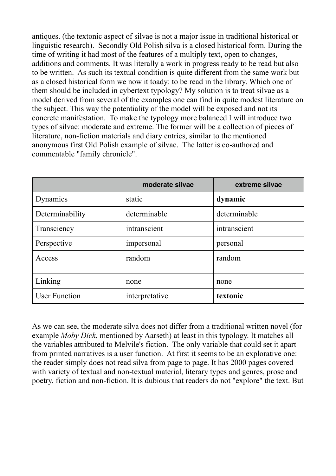antiques. (the textonic aspect of silvae is not a major issue in traditional historical or linguistic research). Secondly Old Polish silva is a closed historical form. During the time of writing it had most of the features of a multiply text, open to changes, additions and comments. It was literally a work in progress ready to be read but also to be written. As such its textual condition is quite different from the same work but as a closed historical form we now it toady: to be read in the library. Which one of them should be included in cybertext typology? My solution is to treat silvae as a model derived from several of the examples one can find in quite modest literature on the subject. This way the potentiality of the model will be exposed and not its concrete manifestation. To make the typology more balanced I will introduce two types of silvae: moderate and extreme. The former will be a collection of pieces of literature, non-fiction materials and diary entries, similar to the mentioned anonymous first Old Polish example of silvae. The latter is co-authored and commentable "family chronicle".

|                      | moderate silvae | extreme silvae |  |  |
|----------------------|-----------------|----------------|--|--|
| Dynamics             | static          | dynamic        |  |  |
| Determinability      | determinable    | determinable   |  |  |
| Transciency          | intranscient    | intranscient   |  |  |
| Perspective          | impersonal      | personal       |  |  |
| Access               | random          | random         |  |  |
| Linking              | none            | none           |  |  |
| <b>User Function</b> | interpretative  | textonic       |  |  |

As we can see, the moderate silva does not differ from a traditional written novel (for example *Moby Dick*, mentioned by Aarseth) at least in this typology. It matches all the variables attributed to Melvile's fiction. The only variable that could set it apart from printed narratives is a user function. At first it seems to be an explorative one: the reader simply does not read silva from page to page. It has 2000 pages covered with variety of textual and non-textual material, literary types and genres, prose and poetry, fiction and non-fiction. It is dubious that readers do not "explore" the text. But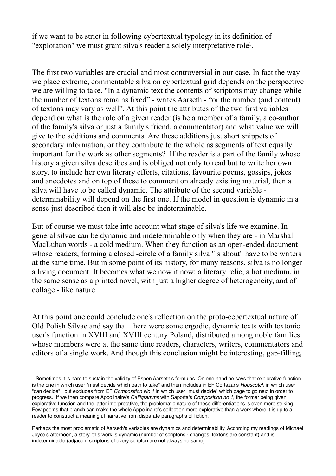if we want to be strict in following cybertextual typology in its definition of "exploration" we must grant silva's reader a solely interpretative role<sup>1</sup>.

The first two variables are crucial and most controversial in our case. In fact the way we place extreme, commentable silva on cybertextual grid depends on the perspective we are willing to take. "In a dynamic text the contents of scriptons may change while the number of textons remains fixed" - writes Aarseth - "or the number (and content) of textons may vary as well". At this point the attributes of the two first variables depend on what is the role of a given reader (is he a member of a family, a co-author of the family's silva or just a family's friend, a commentator) and what value we will give to the additions and comments. Are these additions just short snippets of secondary information, or they contribute to the whole as segments of text equally important for the work as other segments? If the reader is a part of the family whose history a given silva describes and is obliged not only to read but to write her own story, to include her own literary efforts, citations, favourite poems, gossips, jokes and anecdotes and on top of these to comment on already existing material, then a silva will have to be called dynamic. The attribute of the second variable determinability will depend on the first one. If the model in question is dynamic in a sense just described then it will also be indeterminable.

But of course we must take into account what stage of silva's life we examine. In general silvae can be dynamic and indeterminable only when they are - in Marshal MacLuhan words - a cold medium. When they function as an open-ended document whose readers, forming a closed -circle of a family silva "is about" have to be writers at the same time. But in some point of its history, for many reasons, silva is no longer a living document. It becomes what we now it now: a literary relic, a hot medium, in the same sense as a printed novel, with just a higher degree of heterogeneity, and of collage - like nature.

At this point one could conclude one's reflection on the proto-cebertextual nature of Old Polish Silvae and say that there were some ergodic, dynamic texts with textonic user's function in XVIII and XVIII century Poland, distributed among noble families whose members were at the same time readers, characters, writers, commentators and editors of a single work. And though this conclusion might be interesting, gap-filling,

<sup>1</sup> Sometimes it is hard to sustain the validity of Espen Aarseth's formulas. On one hand he says that explorative function is the one in which user "must decide which path to take" and then includes in EF Cortazar's *Hopscotch* in which user "can decide", but excludes from EF *Composition No 1* in which user "must decide" which page to go next in order to progress. If we then compare Appolinaire's *Calligramms* with Saporta's *Composition no 1*, the former being given explorative function and the latter interpretative, the problematic nature of these differentiations is even more striking. Few poems that branch can make the whole Appolinaire's collection more explorative than a work where it is up to a reader to construct a meaningful narrative from disparate paragraphs of fiction.

Perhaps the most problematic of Aarseth's variables are dynamics and determinability. According my readings of Michael Joyce's afternoon, a story, this work is dynamic (number of scriptons - changes, textons are constant) and is indeterminable (adjacent scriptons of every scripton are not always he same).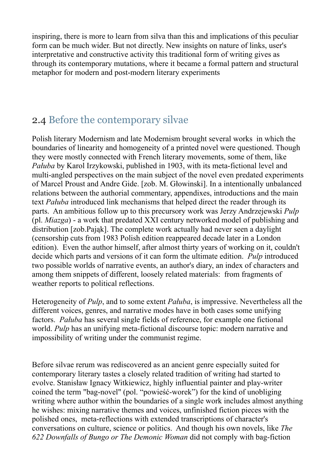inspiring, there is more to learn from silva than this and implications of this peculiar form can be much wider. But not directly. New insights on nature of links, user's interpretative and constructive activity this traditional form of writing gives as through its contemporary mutations, where it became a formal pattern and structural metaphor for modern and post-modern literary experiments

# 2.4 Before the contemporary silvae

Polish literary Modernism and late Modernism brought several works in which the boundaries of linearity and homogeneity of a printed novel were questioned. Though they were mostly connected with French literary movements, some of them, like *Pałuba* by Karol Irzykowski, published in 1903, with its meta-fictional level and multi-angled perspectives on the main subject of the novel even predated experiments of Marcel Proust and Andre Gide. [zob. M. G!owinski]. In a intentionally unbalanced relations between the authorial commentary, appendixes, introductions and the main text *Paluba* introduced link mechanisms that helped direct the reader through its parts. An ambitious follow up to this precursory work was Jerzy Andrzejewski *Pulp* (pl. *Miazga*) - a work that predated XXI century networked model of publishing and distribution [zob.Pajak]. The complete work actually had never seen a daylight (censorship cuts from 1983 Polish edition reappeared decade later in a London edition). Even the author himself, after almost thirty years of working on it, couldn't decide which parts and versions of it can form the ultimate edition. *Pulp* introduced two possible worlds of narrative events, an author's diary, an index of characters and among them snippets of different, loosely related materials: from fragments of weather reports to political reflections.

Heterogeneity of *Pulp*, and to some extent *Pałuba*, is impressive. Nevertheless all the different voices, genres, and narrative modes have in both cases some unifying factors. *Paluba* has several single fields of reference, for example one fictional world. *Pulp* has an unifying meta-fictional discourse topic: modern narrative and impossibility of writing under the communist regime.

Before silvae rerum was rediscovered as an ancient genre especially suited for contemporary literary tastes a closely related tradition of writing had started to evolve. Stanisław Ignacy Witkiewicz, highly influential painter and play-writer coined the term "bag-novel" (pol. "powies "coined") for the kind of unobliging writing where author within the boundaries of a single work includes almost anything he wishes: mixing narrative themes and voices, unfinished fiction pieces with the polished ones, meta-reflections with extended transcriptions of character's conversations on culture, science or politics. And though his own novels, like *The 622 Downfalls of Bungo or The Demonic Woman* did not comply with bag-fiction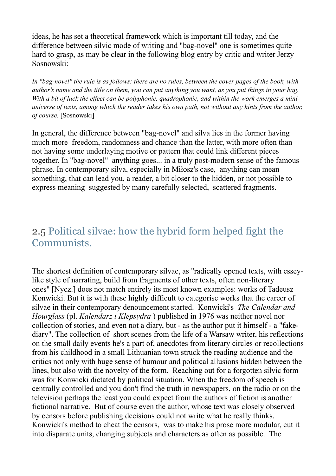ideas, he has set a theoretical framework which is important till today, and the difference between silvic mode of writing and "bag-novel" one is sometimes quite hard to grasp, as may be clear in the following blog entry by critic and writer Jerzy Sosnowski:

*In "bag-novel" the rule is as follows: there are no rules, between the cover pages of the book, with author's name and the title on them, you can put anything you want, as you put things in your bag.*  With a bit of luck the effect can be polyphonic, quadrophonic, and within the work emerges a mini*universe of texts, among which the reader takes his own path, not without any hints from the author, of course.* [Sosnowski]

In general, the difference between "bag-novel" and silva lies in the former having much more freedom, randomness and chance than the latter, with more often than not having some underlaying motive or pattern that could link different pieces together. In "bag-novel" anything goes... in a truly post-modern sense of the famous phrase. In contemporary silva, especially in Milosz's case, anything can mean something, that can lead you, a reader, a bit closer to the hidden, or not possible to express meaning suggested by many carefully selected, scattered fragments.

# 2.5 Political silvae: how the hybrid form helped fight the Communists.

The shortest definition of contemporary silvae, as "radically opened texts, with esseylike style of narrating, build from fragments of other texts, often non-literary ones" [Nycz.] does not match entirely its most known examples: works of Tadeusz Konwicki. But it is with these highly difficult to categorise works that the career of silvae in their contemporary denouncement started. Konwicki's *The Calendar and Hourglass* (pl. *Kalendarz i Klepsydra* ) published in 1976 was neither novel nor collection of stories, and even not a diary, but - as the author put it himself - a "fakediary". The collection of short scenes from the life of a Warsaw writer, his reflections on the small daily events he's a part of, anecdotes from literary circles or recollections from his childhood in a small Lithuanian town struck the reading audience and the critics not only with huge sense of humour and political allusions hidden between the lines, but also with the novelty of the form. Reaching out for a forgotten silvic form was for Konwicki dictated by political situation. When the freedom of speech is centrally controlled and you don't find the truth in newspapers, on the radio or on the television perhaps the least you could expect from the authors of fiction is another fictional narrative. But of course even the author, whose text was closely observed by censors before publishing decisions could not write what he really thinks. Konwicki's method to cheat the censors, was to make his prose more modular, cut it into disparate units, changing subjects and characters as often as possible. The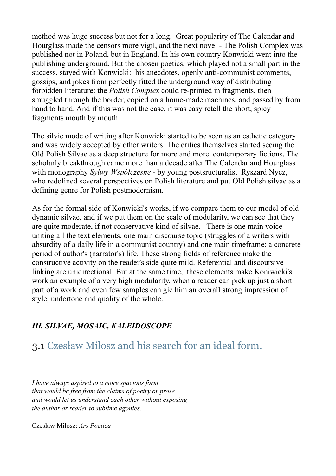method was huge success but not for a long. Great popularity of The Calendar and Hourglass made the censors more vigil, and the next novel - The Polish Complex was published not in Poland, but in England. In his own country Konwicki went into the publishing underground. But the chosen poetics, which played not a small part in the success, stayed with Konwicki: his anecdotes, openly anti-communist comments, gossips, and jokes from perfectly fitted the underground way of distributing forbidden literature: the *Polish Complex* could re-printed in fragments, then smuggled through the border, copied on a home-made machines, and passed by from hand to hand. And if this was not the case, it was easy retell the short, spicy fragments mouth by mouth.

The silvic mode of writing after Konwicki started to be seen as an esthetic category and was widely accepted by other writers. The critics themselves started seeing the Old Polish Silvae as a deep structure for more and more contemporary fictions. The scholarly breakthrough came more than a decade after The Calendar and Hourglass with monography *Sylwy Współczesne* - by young postsructuralist Ryszard Nycz, who redefined several perspectives on Polish literature and put Old Polish silvae as a defining genre for Polish postmodernism.

As for the formal side of Konwicki's works, if we compare them to our model of old dynamic silvae, and if we put them on the scale of modularity, we can see that they are quite moderate, if not conservative kind of silvae. There is one main voice uniting all the text elements, one main discourse topic (struggles of a writers with absurdity of a daily life in a communist country) and one main timeframe: a concrete period of author's (narrator's) life. These strong fields of reference make the constructive activity on the reader's side quite mild. Referential and discoursive linking are unidirectional. But at the same time, these elements make Koniwicki's work an example of a very high modularity, when a reader can pick up just a short part of a work and even few samples can gie him an overall strong impression of style, undertone and quality of the whole.

#### *III. SILVAE, MOSAIC, KALEIDOSCOPE*

# 3.1 Czesław Miłosz and his search for an ideal form.

*I have always aspired to a more spacious form that would be free from the claims of poetry or prose and would let us understand each other without exposing the author or reader to sublime agonies.*

Czes!aw Mi!osz: *Ars Poetica*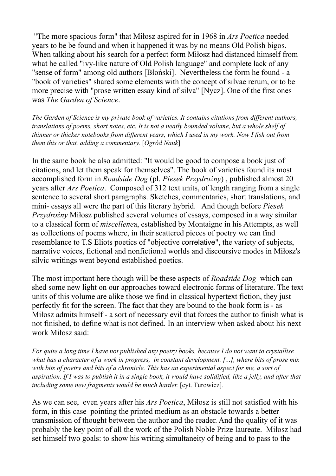"The more spacious form" that Mi!osz aspired for in 1968 in *Ars Poetica* needed years to be be found and when it happened it was by no means Old Polish bigos. When talking about his search for a perfect form Milosz had distanced himself from what he called "ivy-like nature of Old Polish language" and complete lack of any "sense of form" among old authors [Błoński]. Nevertheless the form he found - a "book of varieties" shared some elements with the concept of silvae rerum, or to be more precise with "prose written essay kind of silva" [Nycz]. One of the first ones was *The Garden of Science*.

*The Garden of Science is my private book of varieties. It contains citations from different authors, translations of poems, short notes, etc. It is not a neatly bounded volume, but a whole shelf of thinner or thicker notebooks from different years, which I used in my work. Now I fish out from them this or that, adding a commentary.* [*Ogród Nauk*]

In the same book he also admitted: "It would be good to compose a book just of citations, and let them speak for themselves". The book of varieties found its most accomplished form in *Roadside Dog* (pl. *Piesek Przydro"ny*) , published almost 20 years after *Ars Poetica*. Composed of 312 text units, of length ranging from a single sentence to several short paragraphs. Sketches, commentaries, short translations, and mini- essays all were the part of this literary hybrid. And though before *Piesek Przydrożny* Miłosz published several volumes of essays, composed in a way similar to a classical form of *miscellene*a, established by Montaigne in his Attempts, as well as collections of poems where, in their scattered pieces of poetry we can find resemblance to T.S Eliots poetics of "objective correlative", the variety of subjects, narrative voices, fictional and nonfictional worlds and discoursive modes in Milosz's silvic writings went beyond established poetics.

The most important here though will be these aspects of *Roadside Dog* which can shed some new light on our approaches toward electronic forms of literature. The text units of this volume are alike those we find in classical hypertext fiction, they just perfectly fit for the screen. The fact that they are bound to the book form is - as Milosz admits himself - a sort of necessary evil that forces the author to finish what is not finished, to define what is not defined. In an interview when asked about his next work Miłosz said:

*For quite a long time I have not published any poetry books, because I do not want to crystallise what has a character of a work in progress, in constant development. [...], where bits of prose mix*  with bits of poetry and bits of a chronicle. This has an experimental aspect for me, a sort of *aspiration. If I was to publish it in a single book, it would have solidified, like a jelly, and after that including some new fragments would be much harder.* [cyt. Turowicz]*.*

As we can see, even years after his *Ars Poetica*, Milosz is still not satisfied with his form, in this case pointing the printed medium as an obstacle towards a better transmission of thought between the author and the reader. And the quality of it was probably the key point of all the work of the Polish Noble Prize laureate. Miłosz had set himself two goals: to show his writing simultaneity of being and to pass to the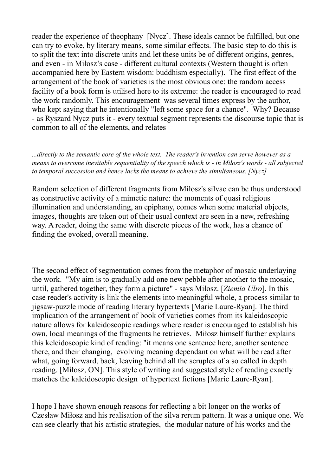reader the experience of theophany [Nycz]. These ideals cannot be fulfilled, but one can try to evoke, by literary means, some similar effects. The basic step to do this is to split the text into discrete units and let these units be of different origins, genres, and even - in Miłosz's case - different cultural contexts (Western thought is often accompanied here by Eastern wisdom: buddhism especially). The first effect of the arrangement of the book of varieties is the most obvious one: the random access facility of a book form is utilised here to its extreme: the reader is encouraged to read the work randomly. This encouragement was several times express by the author, who kept saying that he intentionally "left some space for a chance". Why? Because - as Ryszard Nycz puts it - every textual segment represents the discourse topic that is common to all of the elements, and relates

*...directly to the semantic core of the whole text. The reader's invention can serve however as a means to overcome inevitable sequentiality of the speech which is - in Milosz's words - all subjected to temporal succession and hence lacks the means to achieve the simultaneous. [Nycz]*

Random selection of different fragments from Miłosz's silvae can be thus understood as constructive activity of a mimetic nature: the moments of quasi religious illumination and understanding, an epiphany, comes when some material objects, images, thoughts are taken out of their usual context are seen in a new, refreshing way. A reader, doing the same with discrete pieces of the work, has a chance of finding the evoked, overall meaning.

The second effect of segmentation comes from the metaphor of mosaic underlaying the work. "My aim is to gradually add one new pebble after another to the mosaic, until, gathered together, they form a picture" - says Milosz. [*Ziemia Ulro*]. In this case reader's activity is link the elements into meaningful whole, a process similar to jigsaw-puzzle mode of reading literary hypertexts [Marie Laure-Ryan]. The third implication of the arrangement of book of varieties comes from its kaleidoscopic nature allows for kaleidoscopic readings where reader is encouraged to establish his own, local meanings of the fragments he retrieves. Milosz himself further explains this keleidoscopic kind of reading: "it means one sentence here, another sentence there, and their changing, evolving meaning dependant on what will be read after what, going forward, back, leaving behind all the scruples of a so called in depth reading. [Milosz, ON]. This style of writing and suggested style of reading exactly matches the kaleidoscopic design of hypertext fictions [Marie Laure-Ryan].

I hope I have shown enough reasons for reflecting a bit longer on the works of Czesław Miłosz and his realisation of the silva rerum pattern. It was a unique one. We can see clearly that his artistic strategies, the modular nature of his works and the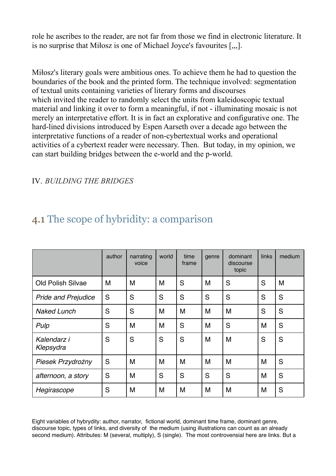role he ascribes to the reader, are not far from those we find in electronic literature. It is no surprise that Milosz is one of Michael Joyce's favourites  $[\cdot, \cdot]$ .

Mitosz's literary goals were ambitious ones. To achieve them he had to question the boundaries of the book and the printed form. The technique involved: segmentation of textual units containing varieties of literary forms and discourses which invited the reader to randomly select the units from kaleidoscopic textual material and linking it over to form a meaningful, if not - illuminating mosaic is not merely an interpretative effort. It is in fact an explorative and configurative one. The hard-lined divisions introduced by Espen Aarseth over a decade ago between the interpretative functions of a reader of non-cybertextual works and operational activities of a cybertext reader were necessary. Then. But today, in my opinion, we can start building bridges between the e-world and the p-world.

#### IV. *BUILDING THE BRIDGES*

# 4.1 The scope of hybridity: a comparison

|                            | author | narrating<br>voice | world | time<br>frame | genre | dominant<br>discourse<br>topic | links | medium |
|----------------------------|--------|--------------------|-------|---------------|-------|--------------------------------|-------|--------|
| <b>Old Polish Silvae</b>   | M      | M                  | M     | S             | M     | S                              | S     | M      |
| <b>Pride and Prejudice</b> | S      | S                  | S     | S             | S     | S                              | S     | S      |
| <b>Naked Lunch</b>         | S      | S                  | M     | M             | M     | M                              | S     | S      |
| Pulp                       | S      | M                  | M     | S             | M     | S                              | M     | S      |
| Kalendarz i<br>Klepsydra   | S      | S                  | S     | S             | M     | M                              | S     | S      |
| Piesek Przydrożny          | S      | M                  | M     | M             | M     | M                              | M     | S      |
| afternoon, a story         | S      | M                  | S     | S             | S     | S                              | M     | S      |
| Hegirascope                | S      | M                  | M     | M             | M     | M                              | M     | S      |

Eight variables of hybrydity: author, narrator, fictional world, dominant time frame, dominant genre, discourse topic, types of links, and diversity of the medium (using illustrations can count as an already second medium). Attributes: M (several, multiply), S (single). The most controvensial here are links. But a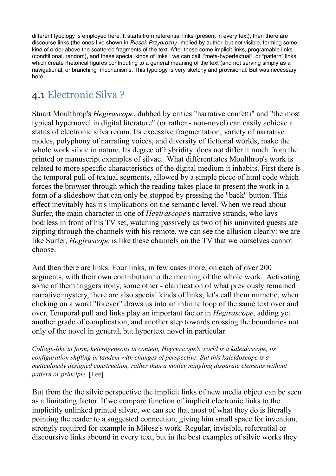different typology is employed here. It starts from referential links (present in every text), then there are discourse links (the ones I've shown in *Piesek Przydrożny,* implied by author, but not visible, forming some kind of order above the scattered fragments of the text. After these come implicit links, programable links (condtitional, random), and these special kinds of links I we can call "meta-hypertextual", or "pattern" links which create rhetorical figures contributing to a general meaning of the text (and not serving simply as a navigational, or branching mechanisms. This typology is very sketchy and provisional. But was necessary here.

# 4.1 Electronic Silva ?

Stuart Moulthrop's *Hegirascope*, dubbed by critics "narrative confetti" and "the most typical hypernovel in digital literature" (or rather - non-novel) can easily achieve a status of electronic silva rerum. Its excessive fragmentation, variety of narrative modes, polyphony of narrating voices, and diversity of fictional worlds, make the whole work silvic in nature. Its degree of hybridity does not differ it much from the printed or manuscript examples of silvae. What differentiates Moulthrop's work is related to more specific characteristics of the digital medium it inhabits. First there is the temporal pull of textual segments, allowed by a simple piece of html code which forces the browser through which the reading takes place to present the work in a form of a slideshow that can only be stopped by pressing the "back" button. This effect inevitably has it's implications on the semantic level. When we read about Surfer, the main character in one of *Hegirascope*'s narrative strands, who lays bodiless in front of his TV set, watching passively as two of his uninvited guests are zipping through the channels with his remote, we can see the allusion clearly: we are like Surfer, *Hegirascope* is like these channels on the TV that we ourselves cannot choose.

And then there are links. Four links, in few cases more, on each of over 200 segments, with their own contribution to the meaning of the whole work. Activating some of them triggers irony, some other - clarification of what previously remained narrative mystery, there are also special kinds of links, let's call them mimetic, when clicking on a word "forever" draws us into an infinite loop of the same text over and over. Temporal pull and links play an important factor in *Hegirascope*, adding yet another grade of complication, and another step towards crossing the boundaries not only of the novel in general, but hypertext novel in particular

*Collage-like in form, heterogeneous in content, Hegriascope's world is a kaleidoscope, its configuration shifting in tandem with changes of perspective. But this kaleidoscope is a meticulously designed construction, rather than a motley mingling disparate elements without pattern or principle.* [Lee]

But from the the silvic perspective the implicit links of new media object can be seen as a limitating factor. If we compare function of implicit electronic links to the implicitly unlinked printed silvae, we can see that most of what they do is literally pointing the reader to a suggested connection, giving him small space for invention, strongly required for example in Miłosz's work. Regular, invisible, referential or discoursive links abound in every text, but in the best examples of silvic works they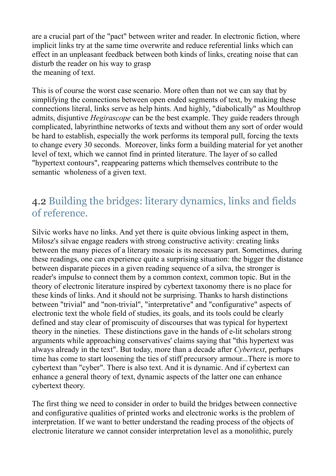are a crucial part of the "pact" between writer and reader. In electronic fiction, where implicit links try at the same time overwrite and reduce referential links which can effect in an unpleasant feedback between both kinds of links, creating noise that can disturb the reader on his way to grasp the meaning of text.

This is of course the worst case scenario. More often than not we can say that by simplifying the connections between open ended segments of text, by making these connections literal, links serve as help hints. And highly, "diabolically" as Moulthrop admits, disjuntive *Hegirascope* can be the best example. They guide readers through complicated, labyrinthine networks of texts and without them any sort of order would be hard to establish, especially the work performs its temporal pull, forcing the texts to change every 30 seconds. Moreover, links form a building material for yet another level of text, which we cannot find in printed literature. The layer of so called "hypertext contours", reappearing patterns which themselves contribute to the semantic wholeness of a given text.

#### 4.2 Building the bridges: literary dynamics, links and fields of reference.

Silvic works have no links. And yet there is quite obvious linking aspect in them, Milosz's silvae engage readers with strong constructive activity: creating links between the many pieces of a literary mosaic is its necessary part. Sometimes, during these readings, one can experience quite a surprising situation: the bigger the distance between disparate pieces in a given reading sequence of a silva, the stronger is reader's impulse to connect them by a common context, common topic. But in the theory of electronic literature inspired by cybertext taxonomy there is no place for these kinds of links. And it should not be surprising. Thanks to harsh distinctions between "trivial" and "non-trivial", "interpretative" and "configurative" aspects of electronic text the whole field of studies, its goals, and its tools could be clearly defined and stay clear of promiscuity of discourses that was typical for hypertext theory in the nineties. These distinctions gave in the hands of e-lit scholars strong arguments while approaching conservatives' claims saying that "this hypertext was always already in the text". But today, more than a decade after *Cybertext*, perhaps time has come to start loosening the ties of stiff precursory armour...There is more to cybertext than "cyber". There is also text. And it is dynamic. And if cybertext can enhance a general theory of text, dynamic aspects of the latter one can enhance cybertext theory.

The first thing we need to consider in order to build the bridges between connective and configurative qualities of printed works and electronic works is the problem of interpretation. If we want to better understand the reading process of the objects of electronic literature we cannot consider interpretation level as a monolithic, purely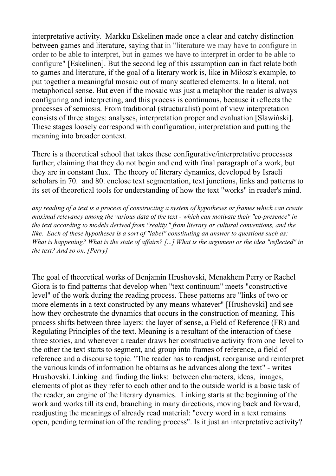interpretative activity. Markku Eskelinen made once a clear and catchy distinction between games and literature, saying that in "literature we may have to configure in order to be able to interpret, but in games we have to interpret in order to be able to configure" [Eskelinen]. But the second leg of this assumption can in fact relate both to games and literature, if the goal of a literary work is, like in Milosz's example, to put together a meaningful mosaic out of many scattered elements. In a literal, not metaphorical sense. But even if the mosaic was just a metaphor the reader is always configuring and interpreting, and this process is continuous, because it reflects the processes of semiosis. From traditional (structuralist) point of view interpretation consists of three stages: analyses, interpretation proper and evaluation [Sławiński]. These stages loosely correspond with configuration, interpretation and putting the meaning into broader context.

There is a theoretical school that takes these configurative/interpretative processes further, claiming that they do not begin and end with final paragraph of a work, but they are in constant flux. The theory of literary dynamics, developed by Israeli scholars in 70. and 80. enclose text segmentation, text junctions, links and patterns to its set of theoretical tools for understanding of how the text "works" in reader's mind.

*any reading of a text is a process of constructing a system of hypotheses or frames which can create maximal relevancy among the various data of the text - which can motivate their "co-presence" in the text according to models derived from "reality," from literary or cultural conventions, and the like. Each of these hypotheses is a sort of "label" constituting an answer to questions such as: What is happening? What is the state of affairs? [...] What is the argument or the idea "reflected" in the text? And so on. [Perry]*

The goal of theoretical works of Benjamin Hrushovski, Menakhem Perry or Rachel Giora is to find patterns that develop when "text continuum" meets "constructive level" of the work during the reading process. These patterns are "links of two or more elements in a text constructed by any means whatever" [Hrushovski] and see how they orchestrate the dynamics that occurs in the construction of meaning. This process shifts between three layers: the layer of sense, a Field of Reference (FR) and Regulating Principles of the text. Meaning is a resultant of the interaction of these three stories, and whenever a reader draws her constructive activity from one level to the other the text starts to segment, and group into frames of reference, a field of reference and a discourse topic. "The reader has to readjust, reorganise and reinterpret the various kinds of information he obtains as he advances along the text" - writes Hrushovski. Linking and finding the links: between characters, ideas, images, elements of plot as they refer to each other and to the outside world is a basic task of the reader, an engine of the literary dynamics. Linking starts at the beginning of the work and works till its end, branching in many directions, moving back and forward, readjusting the meanings of already read material: "every word in a text remains open, pending termination of the reading process". Is it just an interpretative activity?